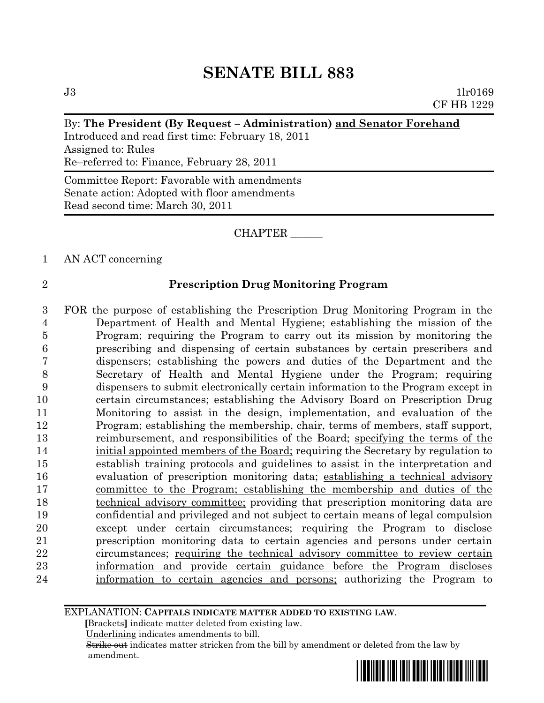$J3$  1lr0169 CF HB 1229

#### By: **The President (By Request – Administration) and Senator Forehand**

Introduced and read first time: February 18, 2011 Assigned to: Rules Re–referred to: Finance, February 28, 2011

Committee Report: Favorable with amendments Senate action: Adopted with floor amendments Read second time: March 30, 2011

#### CHAPTER \_\_\_\_\_\_

1 AN ACT concerning

## 2 **Prescription Drug Monitoring Program**

 FOR the purpose of establishing the Prescription Drug Monitoring Program in the Department of Health and Mental Hygiene; establishing the mission of the Program; requiring the Program to carry out its mission by monitoring the prescribing and dispensing of certain substances by certain prescribers and dispensers; establishing the powers and duties of the Department and the Secretary of Health and Mental Hygiene under the Program; requiring dispensers to submit electronically certain information to the Program except in certain circumstances; establishing the Advisory Board on Prescription Drug Monitoring to assist in the design, implementation, and evaluation of the Program; establishing the membership, chair, terms of members, staff support, 13 reimbursement, and responsibilities of the Board; specifying the terms of the initial appointed members of the Board; requiring the Secretary by regulation to establish training protocols and guidelines to assist in the interpretation and evaluation of prescription monitoring data; establishing a technical advisory committee to the Program; establishing the membership and duties of the 18 technical advisory committee; providing that prescription monitoring data are confidential and privileged and not subject to certain means of legal compulsion except under certain circumstances; requiring the Program to disclose prescription monitoring data to certain agencies and persons under certain circumstances; requiring the technical advisory committee to review certain information and provide certain guidance before the Program discloses information to certain agencies and persons; authorizing the Program to

EXPLANATION: **CAPITALS INDICATE MATTER ADDED TO EXISTING LAW**.

 **[**Brackets**]** indicate matter deleted from existing law.

Underlining indicates amendments to bill.

 Strike out indicates matter stricken from the bill by amendment or deleted from the law by amendment.

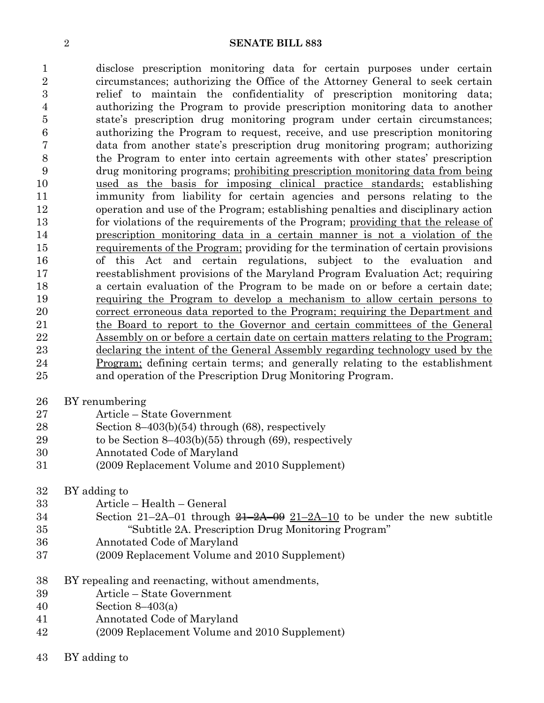disclose prescription monitoring data for certain purposes under certain circumstances; authorizing the Office of the Attorney General to seek certain relief to maintain the confidentiality of prescription monitoring data; authorizing the Program to provide prescription monitoring data to another state's prescription drug monitoring program under certain circumstances; authorizing the Program to request, receive, and use prescription monitoring data from another state's prescription drug monitoring program; authorizing the Program to enter into certain agreements with other states' prescription drug monitoring programs; prohibiting prescription monitoring data from being used as the basis for imposing clinical practice standards; establishing immunity from liability for certain agencies and persons relating to the operation and use of the Program; establishing penalties and disciplinary action for violations of the requirements of the Program; providing that the release of prescription monitoring data in a certain manner is not a violation of the requirements of the Program; providing for the termination of certain provisions of this Act and certain regulations, subject to the evaluation and reestablishment provisions of the Maryland Program Evaluation Act; requiring a certain evaluation of the Program to be made on or before a certain date; requiring the Program to develop a mechanism to allow certain persons to correct erroneous data reported to the Program; requiring the Department and the Board to report to the Governor and certain committees of the General Assembly on or before a certain date on certain matters relating to the Program; declaring the intent of the General Assembly regarding technology used by the Program; defining certain terms; and generally relating to the establishment and operation of the Prescription Drug Monitoring Program.

- BY renumbering
- Article State Government
- Section 8–403(b)(54) through (68), respectively
- to be Section 8–403(b)(55) through (69), respectively
- Annotated Code of Maryland
- (2009 Replacement Volume and 2010 Supplement)
- BY adding to
- Article Health General
- Section  $21-2A-01$  through  $\frac{21-2A-09}{21-2A-10}$  to be under the new subtitle "Subtitle 2A. Prescription Drug Monitoring Program"
- Annotated Code of Maryland
- (2009 Replacement Volume and 2010 Supplement)
- BY repealing and reenacting, without amendments,
- Article State Government
- Section 8–403(a)
- Annotated Code of Maryland
- (2009 Replacement Volume and 2010 Supplement)
- BY adding to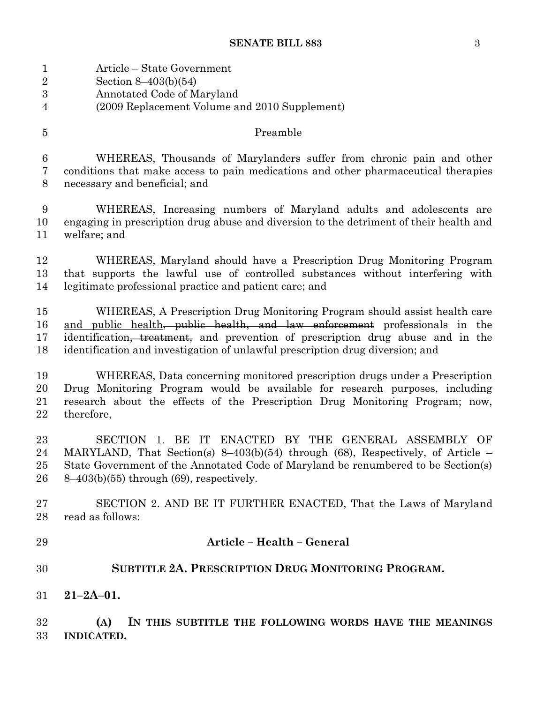Article – State Government

| $\sqrt{2}$           | Section $8-403(b)(54)$                                                                                                                                                                                                                                                            |  |  |  |
|----------------------|-----------------------------------------------------------------------------------------------------------------------------------------------------------------------------------------------------------------------------------------------------------------------------------|--|--|--|
| 3                    | Annotated Code of Maryland                                                                                                                                                                                                                                                        |  |  |  |
| $\overline{4}$       | (2009 Replacement Volume and 2010 Supplement)                                                                                                                                                                                                                                     |  |  |  |
| $\overline{5}$       | Preamble                                                                                                                                                                                                                                                                          |  |  |  |
| $\,6\,$              | WHEREAS, Thousands of Marylanders suffer from chronic pain and other                                                                                                                                                                                                              |  |  |  |
| $\bf 7$              | conditions that make access to pain medications and other pharmaceutical therapies                                                                                                                                                                                                |  |  |  |
| $8\,$                | necessary and beneficial; and                                                                                                                                                                                                                                                     |  |  |  |
| 9                    | WHEREAS, Increasing numbers of Maryland adults and adolescents are                                                                                                                                                                                                                |  |  |  |
| 10                   | engaging in prescription drug abuse and diversion to the detriment of their health and                                                                                                                                                                                            |  |  |  |
| 11                   | welfare; and                                                                                                                                                                                                                                                                      |  |  |  |
| 12                   | WHEREAS, Maryland should have a Prescription Drug Monitoring Program                                                                                                                                                                                                              |  |  |  |
| 13                   | that supports the lawful use of controlled substances without interfering with                                                                                                                                                                                                    |  |  |  |
| 14                   | legitimate professional practice and patient care; and                                                                                                                                                                                                                            |  |  |  |
| 15                   | WHEREAS, A Prescription Drug Monitoring Program should assist health care                                                                                                                                                                                                         |  |  |  |
| 16                   | and public health, public health, and law enforcement professionals in the                                                                                                                                                                                                        |  |  |  |
| 17                   | identification <del>, treatment,</del> and prevention of prescription drug abuse and in the                                                                                                                                                                                       |  |  |  |
| 18                   | identification and investigation of unlawful prescription drug diversion; and                                                                                                                                                                                                     |  |  |  |
| 19                   | WHEREAS, Data concerning monitored prescription drugs under a Prescription                                                                                                                                                                                                        |  |  |  |
| 20                   | Drug Monitoring Program would be available for research purposes, including                                                                                                                                                                                                       |  |  |  |
| 21                   | research about the effects of the Prescription Drug Monitoring Program; now,                                                                                                                                                                                                      |  |  |  |
| 22                   | therefore,                                                                                                                                                                                                                                                                        |  |  |  |
| 23<br>24<br>25<br>26 | SECTION 1. BE IT<br>ENACTED BY THE GENERAL ASSEMBLY OF<br>MARYLAND, That Section(s) $8-403(b)(54)$ through (68), Respectively, of Article –<br>State Government of the Annotated Code of Maryland be renumbered to be Section(s)<br>$8-403(b)(55)$ through $(69)$ , respectively. |  |  |  |
| 27                   | SECTION 2. AND BE IT FURTHER ENACTED, That the Laws of Maryland                                                                                                                                                                                                                   |  |  |  |
| 28                   | read as follows:                                                                                                                                                                                                                                                                  |  |  |  |
| 29                   | Article - Health - General                                                                                                                                                                                                                                                        |  |  |  |
| 30                   | SUBTITLE 2A. PRESCRIPTION DRUG MONITORING PROGRAM.                                                                                                                                                                                                                                |  |  |  |
| 31                   | $21 - 2A - 01$ .                                                                                                                                                                                                                                                                  |  |  |  |
| 32<br>33             | IN THIS SUBTITLE THE FOLLOWING WORDS HAVE THE MEANINGS<br>(A)<br><b>INDICATED.</b>                                                                                                                                                                                                |  |  |  |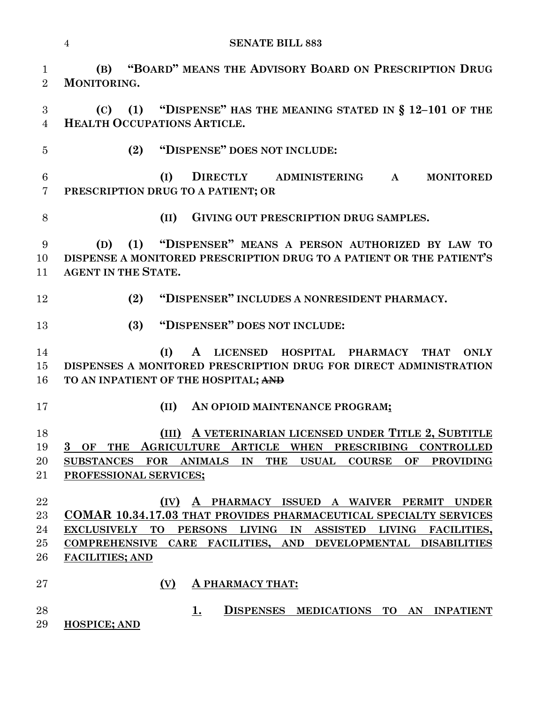**(B) "BOARD" MEANS THE ADVISORY BOARD ON PRESCRIPTION DRUG MONITORING. (C) (1) "DISPENSE" HAS THE MEANING STATED IN § 12–101 OF THE HEALTH OCCUPATIONS ARTICLE. (2) "DISPENSE" DOES NOT INCLUDE: (I) DIRECTLY ADMINISTERING A MONITORED PRESCRIPTION DRUG TO A PATIENT; OR (II) GIVING OUT PRESCRIPTION DRUG SAMPLES. (D) (1) "DISPENSER" MEANS A PERSON AUTHORIZED BY LAW TO DISPENSE A MONITORED PRESCRIPTION DRUG TO A PATIENT OR THE PATIENT'S**  11 AGENT IN THE **STATE**. **(2) "DISPENSER" INCLUDES A NONRESIDENT PHARMACY. (3) "DISPENSER" DOES NOT INCLUDE: (I) A LICENSED HOSPITAL PHARMACY THAT ONLY DISPENSES A MONITORED PRESCRIPTION DRUG FOR DIRECT ADMINISTRATION TO AN INPATIENT OF THE HOSPITAL; AND (II) AN OPIOID MAINTENANCE PROGRAM; (III) A VETERINARIAN LICENSED UNDER TITLE 2, SUBTITLE 3 OF THE AGRICULTURE ARTICLE WHEN PRESCRIBING CONTROLLED SUBSTANCES FOR ANIMALS IN THE USUAL COURSE OF PROVIDING PROFESSIONAL SERVICES; (IV) A PHARMACY ISSUED A WAIVER PERMIT UNDER COMAR 10.34.17.03 THAT PROVIDES PHARMACEUTICAL SPECIALTY SERVICES EXCLUSIVELY TO PERSONS LIVING IN ASSISTED LIVING FACILITIES, COMPREHENSIVE CARE FACILITIES, AND DEVELOPMENTAL DISABILITIES FACILITIES; AND (V) A PHARMACY THAT: 1. DISPENSES MEDICATIONS TO AN INPATIENT HOSPICE; AND** 

**SENATE BILL 883**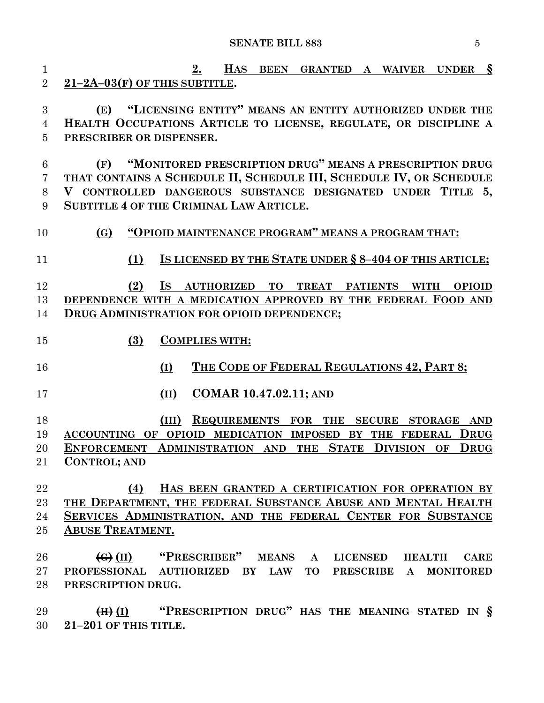**2. HAS BEEN GRANTED A WAIVER UNDER § 21–2A–03(F) OF THIS SUBTITLE. (E) "LICENSING ENTITY" MEANS AN ENTITY AUTHORIZED UNDER THE HEALTH OCCUPATIONS ARTICLE TO LICENSE, REGULATE, OR DISCIPLINE A PRESCRIBER OR DISPENSER. (F) "MONITORED PRESCRIPTION DRUG" MEANS A PRESCRIPTION DRUG THAT CONTAINS A SCHEDULE II, SCHEDULE III, SCHEDULE IV, OR SCHEDULE V CONTROLLED DANGEROUS SUBSTANCE DESIGNATED UNDER TITLE 5, SUBTITLE 4 OF THE CRIMINAL LAW ARTICLE. (G) "OPIOID MAINTENANCE PROGRAM" MEANS A PROGRAM THAT: (1) IS LICENSED BY THE STATE UNDER § 8–404 OF THIS ARTICLE; (2) IS AUTHORIZED TO TREAT PATIENTS WITH OPIOID DEPENDENCE WITH A MEDICATION APPROVED BY THE FEDERAL FOOD AND DRUG ADMINISTRATION FOR OPIOID DEPENDENCE; (3) COMPLIES WITH: (I) THE CODE OF FEDERAL REGULATIONS 42, PART 8; (II) COMAR 10.47.02.11; AND (III) REQUIREMENTS FOR THE SECURE STORAGE AND ACCOUNTING OF OPIOID MEDICATION IMPOSED BY THE FEDERAL DRUG ENFORCEMENT ADMINISTRATION AND THE STATE DIVISION OF DRUG CONTROL; AND (4) HAS BEEN GRANTED A CERTIFICATION FOR OPERATION BY THE DEPARTMENT, THE FEDERAL SUBSTANCE ABUSE AND MENTAL HEALTH SERVICES ADMINISTRATION, AND THE FEDERAL CENTER FOR SUBSTANCE ABUSE TREATMENT. (G) (H) "PRESCRIBER" MEANS A LICENSED HEALTH CARE PROFESSIONAL AUTHORIZED BY LAW TO PRESCRIBE A MONITORED PRESCRIPTION DRUG. (H) (I) "PRESCRIPTION DRUG" HAS THE MEANING STATED IN §**

**21–201 OF THIS TITLE.**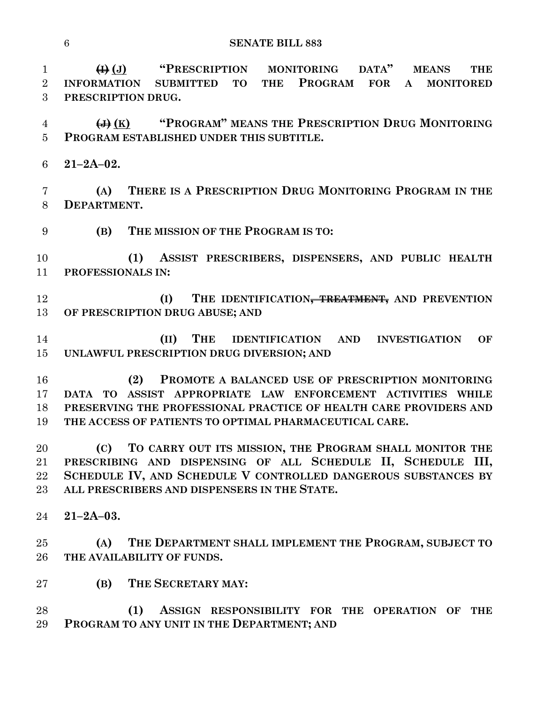**(I) (J) "PRESCRIPTION MONITORING DATA" MEANS THE INFORMATION SUBMITTED TO THE PROGRAM FOR A MONITORED PRESCRIPTION DRUG.**

 **(J) (K) "PROGRAM" MEANS THE PRESCRIPTION DRUG MONITORING PROGRAM ESTABLISHED UNDER THIS SUBTITLE.**

**21–2A–02.**

 **(A) THERE IS A PRESCRIPTION DRUG MONITORING PROGRAM IN THE DEPARTMENT**.

**(B) THE MISSION OF THE PROGRAM IS TO:**

 **(1) ASSIST PRESCRIBERS, DISPENSERS, AND PUBLIC HEALTH PROFESSIONALS IN:**

 **(I) THE IDENTIFICATION, TREATMENT, AND PREVENTION OF PRESCRIPTION DRUG ABUSE; AND** 

 **(II) THE IDENTIFICATION AND INVESTIGATION OF UNLAWFUL PRESCRIPTION DRUG DIVERSION; AND** 

 **(2) PROMOTE A BALANCED USE OF PRESCRIPTION MONITORING DATA TO ASSIST APPROPRIATE LAW ENFORCEMENT ACTIVITIES WHILE PRESERVING THE PROFESSIONAL PRACTICE OF HEALTH CARE PROVIDERS AND THE ACCESS OF PATIENTS TO OPTIMAL PHARMACEUTICAL CARE.**

 **(C) TO CARRY OUT ITS MISSION, THE PROGRAM SHALL MONITOR THE PRESCRIBING AND DISPENSING OF ALL SCHEDULE II, SCHEDULE III, SCHEDULE IV, AND SCHEDULE V CONTROLLED DANGEROUS SUBSTANCES BY ALL PRESCRIBERS AND DISPENSERS IN THE STATE.**

**21–2A–03.**

 **(A) THE DEPARTMENT SHALL IMPLEMENT THE PROGRAM, SUBJECT TO THE AVAILABILITY OF FUNDS.**

- **(B) THE SECRETARY MAY:**
- **(1) ASSIGN RESPONSIBILITY FOR THE OPERATION OF THE PROGRAM TO ANY UNIT IN THE DEPARTMENT; AND**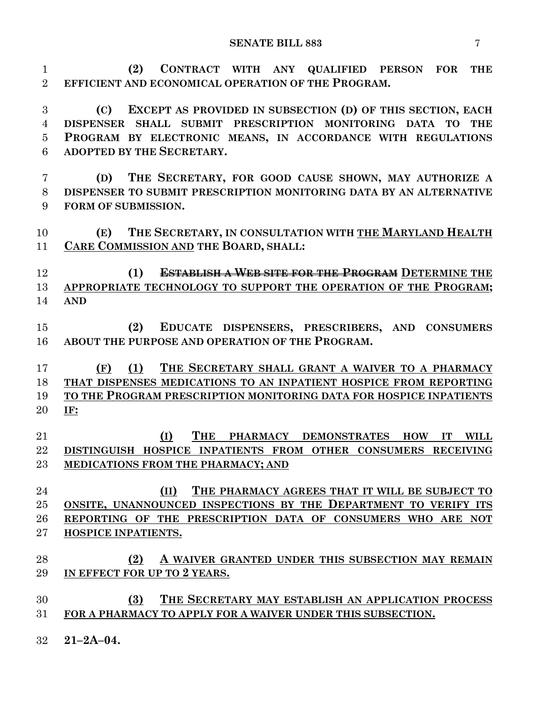**(2) CONTRACT WITH ANY QUALIFIED PERSON FOR THE EFFICIENT AND ECONOMICAL OPERATION OF THE PROGRAM.**

 **(C) EXCEPT AS PROVIDED IN SUBSECTION (D) OF THIS SECTION, EACH DISPENSER SHALL SUBMIT PRESCRIPTION MONITORING DATA TO THE PROGRAM BY ELECTRONIC MEANS, IN ACCORDANCE WITH REGULATIONS ADOPTED BY THE SECRETARY.**

 **(D) THE SECRETARY, FOR GOOD CAUSE SHOWN, MAY AUTHORIZE A DISPENSER TO SUBMIT PRESCRIPTION MONITORING DATA BY AN ALTERNATIVE FORM OF SUBMISSION.**

 **(E) THE SECRETARY, IN CONSULTATION WITH THE MARYLAND HEALTH CARE COMMISSION AND THE BOARD, SHALL:**

 **(1) ESTABLISH A WEB SITE FOR THE PROGRAM DETERMINE THE APPROPRIATE TECHNOLOGY TO SUPPORT THE OPERATION OF THE PROGRAM; AND** 

 **(2) EDUCATE DISPENSERS, PRESCRIBERS, AND CONSUMERS ABOUT THE PURPOSE AND OPERATION OF THE PROGRAM.**

 **(F) (1) THE SECRETARY SHALL GRANT A WAIVER TO A PHARMACY THAT DISPENSES MEDICATIONS TO AN INPATIENT HOSPICE FROM REPORTING TO THE PROGRAM PRESCRIPTION MONITORING DATA FOR HOSPICE INPATIENTS IF:**

 **(I) THE PHARMACY DEMONSTRATES HOW IT WILL DISTINGUISH HOSPICE INPATIENTS FROM OTHER CONSUMERS RECEIVING MEDICATIONS FROM THE PHARMACY; AND**

 **(II) THE PHARMACY AGREES THAT IT WILL BE SUBJECT TO ONSITE, UNANNOUNCED INSPECTIONS BY THE DEPARTMENT TO VERIFY ITS REPORTING OF THE PRESCRIPTION DATA OF CONSUMERS WHO ARE NOT HOSPICE INPATIENTS.**

 **(2) A WAIVER GRANTED UNDER THIS SUBSECTION MAY REMAIN IN EFFECT FOR UP TO 2 YEARS.**

 **(3) THE SECRETARY MAY ESTABLISH AN APPLICATION PROCESS FOR A PHARMACY TO APPLY FOR A WAIVER UNDER THIS SUBSECTION.**

**21–2A–04.**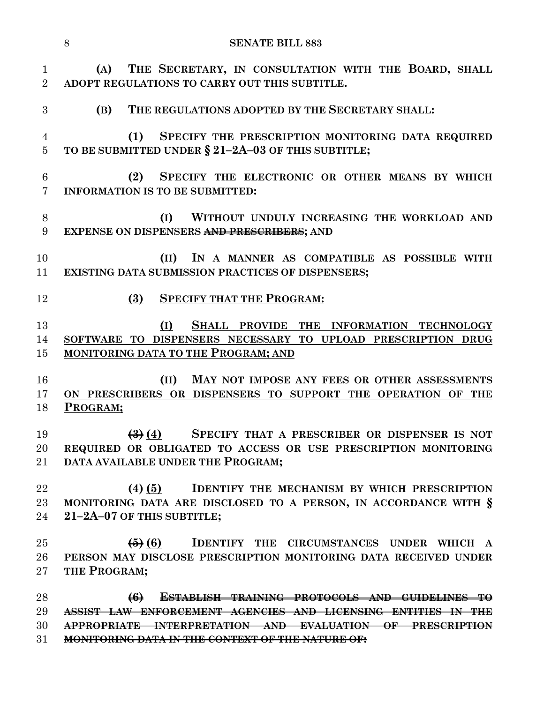|                                  | 8<br><b>SENATE BILL 883</b>                                                                                                                                                                                                                 |  |  |
|----------------------------------|---------------------------------------------------------------------------------------------------------------------------------------------------------------------------------------------------------------------------------------------|--|--|
| $\mathbf{1}$<br>$\overline{2}$   | THE SECRETARY, IN CONSULTATION WITH THE BOARD, SHALL<br>(A)<br>ADOPT REGULATIONS TO CARRY OUT THIS SUBTITLE.                                                                                                                                |  |  |
| 3                                | THE REGULATIONS ADOPTED BY THE SECRETARY SHALL:<br>(B)                                                                                                                                                                                      |  |  |
| $\overline{4}$<br>$\overline{5}$ | SPECIFY THE PRESCRIPTION MONITORING DATA REQUIRED<br>(1)<br>TO BE SUBMITTED UNDER § 21-2A-03 OF THIS SUBTITLE;                                                                                                                              |  |  |
| 6<br>$\overline{7}$              | SPECIFY THE ELECTRONIC OR OTHER MEANS BY WHICH<br>(2)<br><b>INFORMATION IS TO BE SUBMITTED:</b>                                                                                                                                             |  |  |
| 8<br>9                           | (I)<br>WITHOUT UNDULY INCREASING THE WORKLOAD AND<br>EXPENSE ON DISPENSERS AND PRESCRIBERS; AND                                                                                                                                             |  |  |
| 10<br>11                         | (II) IN A MANNER AS COMPATIBLE AS POSSIBLE WITH<br><b>EXISTING DATA SUBMISSION PRACTICES OF DISPENSERS;</b>                                                                                                                                 |  |  |
| 12                               | <b>SPECIFY THAT THE PROGRAM:</b><br>(3)                                                                                                                                                                                                     |  |  |
| 13<br>14<br>15                   | (I)<br>SHALL PROVIDE THE INFORMATION TECHNOLOGY<br>SOFTWARE TO DISPENSERS NECESSARY TO UPLOAD PRESCRIPTION DRUG<br><b>MONITORING DATA TO THE PROGRAM; AND</b>                                                                               |  |  |
| 16<br>17<br>18                   | (II)<br>MAY NOT IMPOSE ANY FEES OR OTHER ASSESSMENTS<br>ON PRESCRIBERS OR DISPENSERS TO SUPPORT THE OPERATION OF THE<br>PROGRAM;                                                                                                            |  |  |
| 19<br>20<br>21                   | $\left(\frac{3}{2}\right)\left(\frac{4}{2}\right)$<br>SPECIFY THAT A PRESCRIBER OR DISPENSER IS NOT<br>REQUIRED OR OBLIGATED TO ACCESS OR USE PRESCRIPTION MONITORING<br>DATA AVAILABLE UNDER THE PROGRAM;                                  |  |  |
| 22<br>23<br>24                   | <b>IDENTIFY THE MECHANISM BY WHICH PRESCRIPTION</b><br>$\leftrightarrow$ (5)<br>MONITORING DATA ARE DISCLOSED TO A PERSON, IN ACCORDANCE WITH §<br>21-2A-07 OF THIS SUBTITLE;                                                               |  |  |
| 25<br>26<br>27                   | $\left( 5\right)$ $\left( 6\right)$<br>IDENTIFY THE CIRCUMSTANCES UNDER WHICH A<br>PERSON MAY DISCLOSE PRESCRIPTION MONITORING DATA RECEIVED UNDER<br>THE PROGRAM;                                                                          |  |  |
| 28<br>29<br>30<br>31             | $\left(6\right)$<br>ESTABLISH TRAINING PROTOCOLS AND GUIDELINES TO<br>ASSIST LAW ENFORCEMENT AGENCIES AND LICENSING ENTITIES IN THE<br>APPROPRIATE INTERPRETATION AND EVALUATION OF PRESCRIPTION<br><u>IN THE CONTEXT OF THE NATURE OF:</u> |  |  |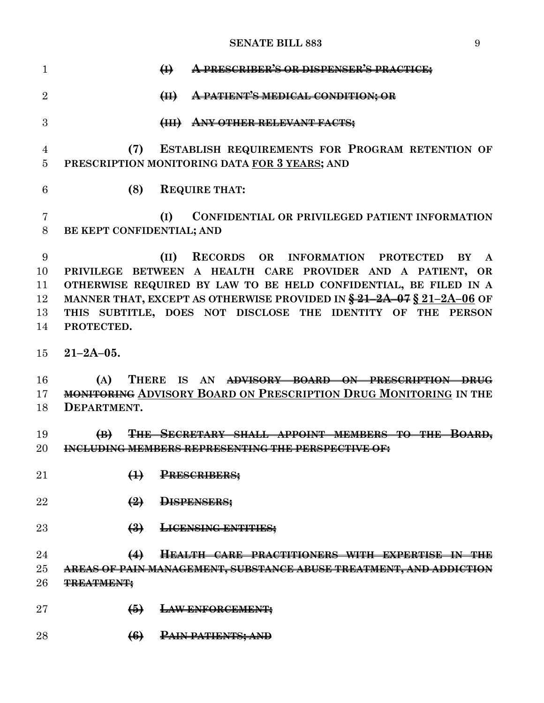| $\mathbf{1}$    | A PRESCRIBER'S OR DISPENSER'S PRACTICE;<br>$\bigoplus$                          |
|-----------------|---------------------------------------------------------------------------------|
| $\overline{2}$  | PATIENT'S MEDICAL CONDITION; OR<br>$\bigoplus$                                  |
| 3               | <b>ANY OTHER RELEVANT FACTS;</b><br>$\left(\frac{1}{111}\right)$                |
| 4               | ESTABLISH REQUIREMENTS FOR PROGRAM RETENTION OF<br>(7)                          |
| 5               | PRESCRIPTION MONITORING DATA FOR 3 YEARS; AND                                   |
| 6               | (8)<br><b>REQUIRE THAT:</b>                                                     |
| 7               | CONFIDENTIAL OR PRIVILEGED PATIENT INFORMATION<br>(I)                           |
| 8               | BE KEPT CONFIDENTIAL; AND                                                       |
| 9               | RECORDS OR INFORMATION PROTECTED<br>(II)<br>BY<br>$\mathbf{A}$                  |
| 10              | PRIVILEGE BETWEEN A HEALTH CARE PROVIDER AND A PATIENT, OR                      |
| 11              | OTHERWISE REQUIRED BY LAW TO BE HELD CONFIDENTIAL, BE FILED IN A                |
| 12              | MANNER THAT, EXCEPT AS OTHERWISE PROVIDED IN $\frac{24-2A-07}{2}$ \$21-2A-06 OF |
| 13              | THIS SUBTITLE, DOES NOT DISCLOSE THE IDENTITY OF THE PERSON                     |
| 14              | PROTECTED.                                                                      |
| 15              | $21 - 2A - 05$ .                                                                |
| 16              | (A)<br><b>THERE</b><br>IS<br>AN<br>ADVISORY BOARD ON PRESCRIPTION DRUG          |
| 17              | <b>MONITORING ADVISORY BOARD ON PRESCRIPTION DRUG MONITORING IN THE</b>         |
| 18              | DEPARTMENT.                                                                     |
| 19              | SECRETARY SHALL APPOINT MEMBERS TO THE<br><del>BOARD.</del><br>$\bigoplus$      |
| 20              | <b>INCLUDING MEMBERS REPRESENTING THE PERSPECTIVE OF:</b>                       |
|                 |                                                                                 |
| $\overline{21}$ | $\leftrightarrow$<br><b>PRESCRIBERS:</b>                                        |
| 22              | $\left( \frac{9}{2} \right)$<br><b>DISPENSERS:</b>                              |
| $23\,$          | $\left(\frac{3}{2}\right)$<br><b>LICENSING ENTITIES;</b>                        |
| 24              | <del>HEALTH CARE PRACTITIONERS WITH EXPERTISE IN THE</del><br>$\leftrightarrow$ |
| $25\,$          | <del>AREAS OF PAIN MANAGEMENT, SUBSTANCE ABUSE TREATMENT, AND ADDICTION</del>   |
| 26              | <b>TREATMENT;</b>                                                               |
|                 |                                                                                 |
| $\rm 27$        | $\bigoplus$<br><b>LAW ENFORCEMENT:</b>                                          |
| 28              | $\left(6\right)$<br><b>PAIN PATIENTS; AND</b>                                   |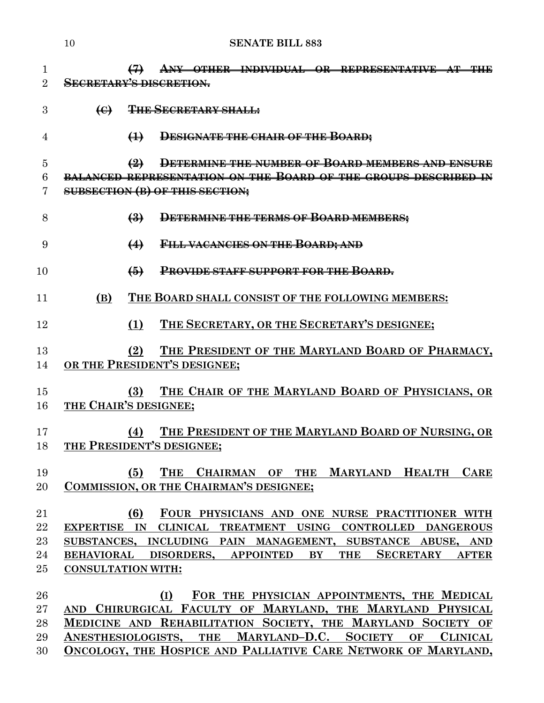|                | 10                        |                                                                                      | <b>SENATE BILL 883</b>                                             |  |
|----------------|---------------------------|--------------------------------------------------------------------------------------|--------------------------------------------------------------------|--|
| $\mathbf 1$    |                           | $\leftrightarrow$                                                                    | ANY OTHER INDIVIDUAL OR REPRESENTATIVE AT THE                      |  |
| $\overline{2}$ |                           |                                                                                      | <b>SECRETARY'S DISCRETION.</b>                                     |  |
| 3              | $\leftrightarrow$         |                                                                                      | <b>THE SECRETARY SHALL:</b>                                        |  |
| 4              |                           | $\leftrightarrow$                                                                    | DESIGNATE THE CHAIR OF THE BOARD;                                  |  |
| 5              |                           | $\left( 2\right)$                                                                    | DETERMINE THE NUMBER OF BOARD MEMBERS AND ENSURE                   |  |
| 6              |                           |                                                                                      | BALANCED REPRESENTATION ON THE BOARD OF THE GROUPS DESCRIBED IN    |  |
| 7              |                           |                                                                                      | <b>SUBSECTION (B) OF THIS SECTION;</b>                             |  |
| 8              |                           | $\left(\frac{3}{2}\right)$                                                           | DETERMINE THE TERMS OF BOARD MEMBERS;                              |  |
| 9              |                           | $\leftrightarrow$                                                                    | FILL VACANCIES ON THE BOARD; AND                                   |  |
| 10             |                           | $\bigoplus$                                                                          | PROVIDE STAFF SUPPORT FOR THE BOARD.                               |  |
| 11             | (B)                       |                                                                                      | THE BOARD SHALL CONSIST OF THE FOLLOWING MEMBERS:                  |  |
| 12             |                           | (1)                                                                                  | THE SECRETARY, OR THE SECRETARY'S DESIGNEE;                        |  |
| 13             |                           | (2)                                                                                  | THE PRESIDENT OF THE MARYLAND BOARD OF PHARMACY,                   |  |
| 14             |                           |                                                                                      | OR THE PRESIDENT'S DESIGNEE;                                       |  |
|                |                           |                                                                                      |                                                                    |  |
| 15<br>16       | THE CHAIR'S DESIGNEE;     | (3)                                                                                  | THE CHAIR OF THE MARYLAND BOARD OF PHYSICIANS, OR                  |  |
|                |                           |                                                                                      |                                                                    |  |
| 17             |                           | (4)                                                                                  | THE PRESIDENT OF THE MARYLAND BOARD OF NURSING, OR                 |  |
| 18             |                           |                                                                                      | THE PRESIDENT'S DESIGNEE;                                          |  |
|                |                           |                                                                                      |                                                                    |  |
| 19             |                           | (5)                                                                                  | THE<br>CHAIRMAN OF THE MARYLAND HEALTH<br><b>CARE</b>              |  |
| 20             |                           |                                                                                      | COMMISSION, OR THE CHAIRMAN'S DESIGNEE;                            |  |
| 21             |                           | (6)                                                                                  | FOUR PHYSICIANS AND ONE NURSE PRACTITIONER WITH                    |  |
| 22             |                           |                                                                                      | EXPERTISE IN CLINICAL TREATMENT USING CONTROLLED DANGEROUS         |  |
| 23             |                           |                                                                                      | SUBSTANCES, INCLUDING PAIN MANAGEMENT, SUBSTANCE ABUSE, AND        |  |
| 24             |                           | <b>SECRETARY</b><br>BEHAVIORAL DISORDERS, APPOINTED BY<br><b>THE</b><br><b>AFTER</b> |                                                                    |  |
| 25             | <b>CONSULTATION WITH:</b> |                                                                                      |                                                                    |  |
| 26             |                           |                                                                                      | FOR THE PHYSICIAN APPOINTMENTS, THE MEDICAL<br>(I)                 |  |
| $27\,$         |                           |                                                                                      | AND CHIRURGICAL FACULTY OF MARYLAND, THE MARYLAND PHYSICAL         |  |
| 28             |                           |                                                                                      | MEDICINE AND REHABILITATION SOCIETY, THE MARYLAND SOCIETY OF       |  |
| 29             |                           |                                                                                      | ANESTHESIOLOGISTS, THE MARYLAND-D.C. SOCIETY OF<br><b>CLINICAL</b> |  |

**ONCOLOGY, THE HOSPICE AND PALLIATIVE CARE NETWORK OF MARYLAND,**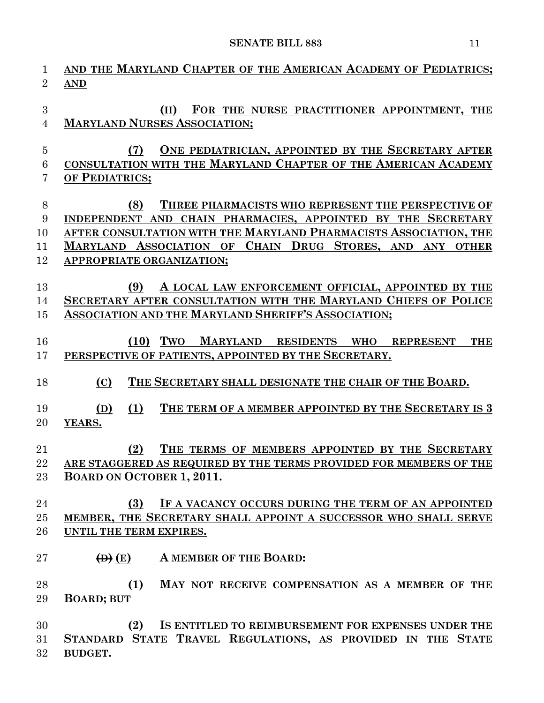| $\mathbf{1}$<br>$\overline{2}$ | AND THE MARYLAND CHAPTER OF THE AMERICAN ACADEMY OF PEDIATRICS;<br><b>AND</b>              |
|--------------------------------|--------------------------------------------------------------------------------------------|
| $\boldsymbol{3}$<br>4          | (II)<br>FOR THE NURSE PRACTITIONER APPOINTMENT, THE<br><b>MARYLAND NURSES ASSOCIATION;</b> |
| 5                              | ONE PEDIATRICIAN, APPOINTED BY THE SECRETARY AFTER<br>(7)                                  |
| 6                              | CONSULTATION WITH THE MARYLAND CHAPTER OF THE AMERICAN ACADEMY                             |
| 7                              | OF PEDIATRICS;                                                                             |
| $8\,$                          | (8)<br>THREE PHARMACISTS WHO REPRESENT THE PERSPECTIVE OF                                  |
| 9                              | <b>SECRETARY</b><br>CHAIN PHARMACIES, APPOINTED BY THE<br><b>INDEPENDENT AND</b>           |
| 10                             | AFTER CONSULTATION WITH THE MARYLAND PHARMACISTS ASSOCIATION, THE                          |
| 11                             | <b>ASSOCIATION OF</b><br>CHAIN DRUG STORES, AND ANY<br><b>MARYLAND</b><br><b>OTHER</b>     |
| 12                             | APPROPRIATE ORGANIZATION;                                                                  |
|                                |                                                                                            |
| 13                             | (9)<br>A LOCAL LAW ENFORCEMENT OFFICIAL, APPOINTED BY THE                                  |
| 14                             | SECRETARY AFTER CONSULTATION WITH THE MARYLAND CHIEFS OF POLICE                            |
| 15                             | ASSOCIATION AND THE MARYLAND SHERIFF'S ASSOCIATION;                                        |
| 16                             | Two<br><b>MARYLAND</b><br>(10)<br>RESIDENTS WHO<br><b>REPRESENT</b><br><b>THE</b>          |
| 17                             | PERSPECTIVE OF PATIENTS, APPOINTED BY THE SECRETARY.                                       |
|                                |                                                                                            |
| 18                             | THE SECRETARY SHALL DESIGNATE THE CHAIR OF THE BOARD.<br>(C)                               |
| 19                             | (1)<br>THE TERM OF A MEMBER APPOINTED BY THE SECRETARY IS 3<br>(D)                         |
| 20                             | YEARS.                                                                                     |
|                                |                                                                                            |
| 21                             | (2)<br>THE TERMS OF MEMBERS APPOINTED BY THE SECRETARY                                     |
| 22                             | ARE STAGGERED AS REQUIRED BY THE TERMS PROVIDED FOR MEMBERS OF THE                         |
| 23                             | <b>BOARD ON OCTOBER 1, 2011.</b>                                                           |
| 24                             | (3)<br>IF A VACANCY OCCURS DURING THE TERM OF AN APPOINTED                                 |
| 25                             | MEMBER, THE SECRETARY SHALL APPOINT A SUCCESSOR WHO SHALL SERVE                            |
| 26                             | UNTIL THE TERM EXPIRES.                                                                    |
|                                |                                                                                            |
| 27                             | A MEMBER OF THE BOARD:<br>$\left(\mathbf{D}\right)(\mathbf{E})$                            |
| 28                             | (1)<br>MAY NOT RECEIVE COMPENSATION AS A MEMBER OF THE                                     |
| 29                             | <b>BOARD; BUT</b>                                                                          |
|                                |                                                                                            |
| 30                             | IS ENTITLED TO REIMBURSEMENT FOR EXPENSES UNDER THE<br>(2)                                 |
| 31                             | STANDARD STATE TRAVEL REGULATIONS, AS PROVIDED IN THE STATE                                |
| 32                             | BUDGET.                                                                                    |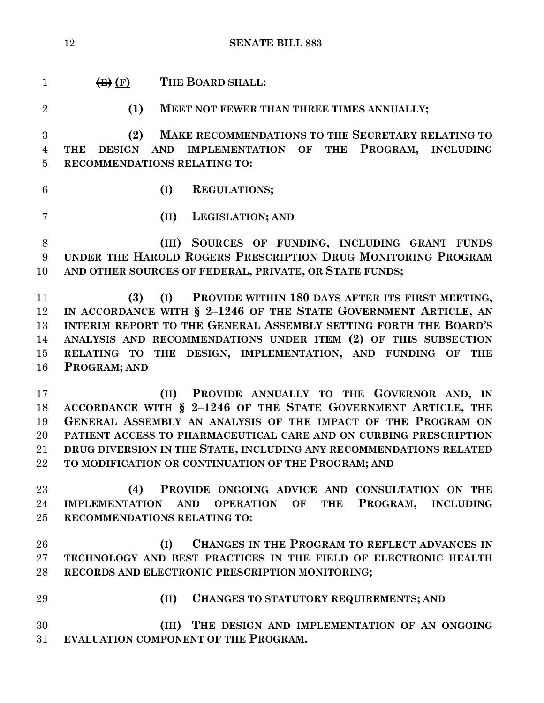| $\mathbf{1}$   | $\left(\mathbf{E}\right)\left(\mathbf{F}\right)$                 | THE BOARD SHALL:                                                   |  |  |
|----------------|------------------------------------------------------------------|--------------------------------------------------------------------|--|--|
| $\overline{2}$ | (1)                                                              | MEET NOT FEWER THAN THREE TIMES ANNUALLY;                          |  |  |
| 3              | (2)                                                              | MAKE RECOMMENDATIONS TO THE SECRETARY RELATING TO                  |  |  |
| $\overline{4}$ | <b>DESIGN</b><br>THE                                             | AND IMPLEMENTATION OF<br>THE PROGRAM, INCLUDING                    |  |  |
| $\overline{5}$ |                                                                  | RECOMMENDATIONS RELATING TO:                                       |  |  |
| 6              |                                                                  | (I)<br><b>REGULATIONS;</b>                                         |  |  |
| $\overline{7}$ |                                                                  | LEGISLATION; AND<br>(II)                                           |  |  |
| 8              |                                                                  | (III) SOURCES OF FUNDING, INCLUDING GRANT FUNDS                    |  |  |
| $9\phantom{.}$ |                                                                  | UNDER THE HAROLD ROGERS PRESCRIPTION DRUG MONITORING PROGRAM       |  |  |
| 10             |                                                                  | AND OTHER SOURCES OF FEDERAL, PRIVATE, OR STATE FUNDS;             |  |  |
| 11             | (3)                                                              | PROVIDE WITHIN 180 DAYS AFTER ITS FIRST MEETING,<br>(I)            |  |  |
| 12             |                                                                  | IN ACCORDANCE WITH § 2-1246 OF THE STATE GOVERNMENT ARTICLE, AN    |  |  |
| 13             | INTERIM REPORT TO THE GENERAL ASSEMBLY SETTING FORTH THE BOARD'S |                                                                    |  |  |
| 14             |                                                                  | ANALYSIS AND RECOMMENDATIONS UNDER ITEM (2) OF THIS SUBSECTION     |  |  |
| 15             |                                                                  | RELATING TO THE DESIGN, IMPLEMENTATION, AND FUNDING OF THE         |  |  |
| 16             | PROGRAM; AND                                                     |                                                                    |  |  |
| 17             |                                                                  | PROVIDE ANNUALLY TO THE GOVERNOR AND, IN<br>(II)                   |  |  |
| 18             |                                                                  | ACCORDANCE WITH § 2-1246 OF THE STATE GOVERNMENT ARTICLE, THE      |  |  |
| 19             |                                                                  | GENERAL ASSEMBLY AN ANALYSIS OF THE IMPACT OF THE PROGRAM ON       |  |  |
| 20             |                                                                  | PATIENT ACCESS TO PHARMACEUTICAL CARE AND ON CURBING PRESCRIPTION  |  |  |
| 21             |                                                                  | DRUG DIVERSION IN THE STATE, INCLUDING ANY RECOMMENDATIONS RELATED |  |  |
| 22             |                                                                  | TO MODIFICATION OR CONTINUATION OF THE PROGRAM; AND                |  |  |
| 23             | (4)                                                              | PROVIDE ONGOING ADVICE AND CONSULTATION ON THE                     |  |  |
| 24             |                                                                  | IMPLEMENTATION AND OPERATION OF THE PROGRAM, INCLUDING             |  |  |
| 25             |                                                                  | RECOMMENDATIONS RELATING TO:                                       |  |  |
| 26             |                                                                  | CHANGES IN THE PROGRAM TO REFLECT ADVANCES IN<br>(I)               |  |  |
| 27             |                                                                  | TECHNOLOGY AND BEST PRACTICES IN THE FIELD OF ELECTRONIC HEALTH    |  |  |
| 28             |                                                                  | RECORDS AND ELECTRONIC PRESCRIPTION MONITORING;                    |  |  |
| 29             |                                                                  | (II)<br>CHANGES TO STATUTORY REQUIREMENTS; AND                     |  |  |
| 30             |                                                                  | THE DESIGN AND IMPLEMENTATION OF AN ONGOING<br>(III)               |  |  |
| 31             |                                                                  | EVALUATION COMPONENT OF THE PROGRAM.                               |  |  |
|                |                                                                  |                                                                    |  |  |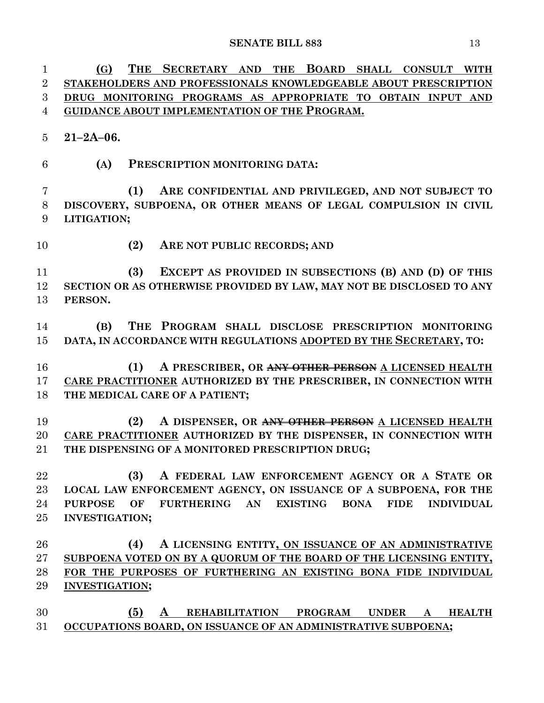**(G) THE SECRETARY AND THE BOARD SHALL CONSULT WITH STAKEHOLDERS AND PROFESSIONALS KNOWLEDGEABLE ABOUT PRESCRIPTION DRUG MONITORING PROGRAMS AS APPROPRIATE TO OBTAIN INPUT AND GUIDANCE ABOUT IMPLEMENTATION OF THE PROGRAM. 21–2A–06. (A) PRESCRIPTION MONITORING DATA: (1) ARE CONFIDENTIAL AND PRIVILEGED, AND NOT SUBJECT TO DISCOVERY, SUBPOENA, OR OTHER MEANS OF LEGAL COMPULSION IN CIVIL LITIGATION; (2) ARE NOT PUBLIC RECORDS; AND (3) EXCEPT AS PROVIDED IN SUBSECTIONS (B) AND (D) OF THIS SECTION OR AS OTHERWISE PROVIDED BY LAW, MAY NOT BE DISCLOSED TO ANY PERSON. (B) THE PROGRAM SHALL DISCLOSE PRESCRIPTION MONITORING DATA, IN ACCORDANCE WITH REGULATIONS ADOPTED BY THE SECRETARY, TO: (1) A PRESCRIBER, OR ANY OTHER PERSON A LICENSED HEALTH CARE PRACTITIONER AUTHORIZED BY THE PRESCRIBER, IN CONNECTION WITH THE MEDICAL CARE OF A PATIENT; (2) A DISPENSER, OR ANY OTHER PERSON A LICENSED HEALTH CARE PRACTITIONER AUTHORIZED BY THE DISPENSER, IN CONNECTION WITH THE DISPENSING OF A MONITORED PRESCRIPTION DRUG; (3) A FEDERAL LAW ENFORCEMENT AGENCY OR A STATE OR LOCAL LAW ENFORCEMENT AGENCY, ON ISSUANCE OF A SUBPOENA, FOR THE PURPOSE OF FURTHERING AN EXISTING BONA FIDE INDIVIDUAL INVESTIGATION; (4) A LICENSING ENTITY, ON ISSUANCE OF AN ADMINISTRATIVE SUBPOENA VOTED ON BY A QUORUM OF THE BOARD OF THE LICENSING ENTITY, FOR THE PURPOSES OF FURTHERING AN EXISTING BONA FIDE INDIVIDUAL INVESTIGATION; (5) A REHABILITATION PROGRAM UNDER A HEALTH OCCUPATIONS BOARD, ON ISSUANCE OF AN ADMINISTRATIVE SUBPOENA;**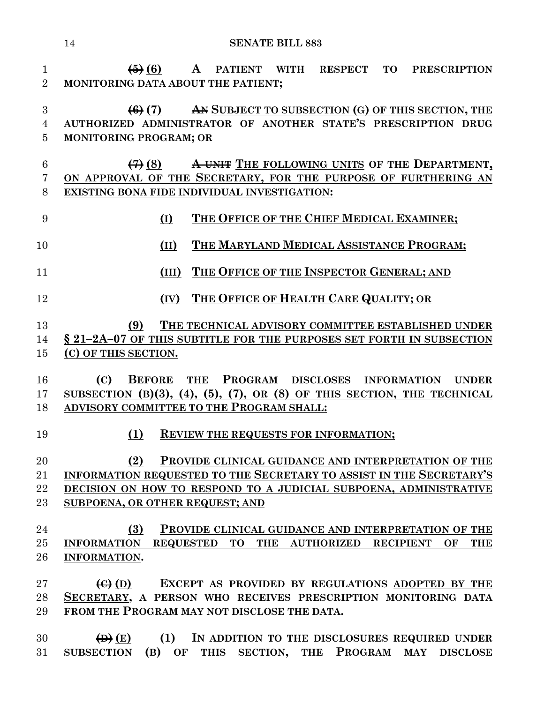**(5) (6) A PATIENT WITH RESPECT TO PRESCRIPTION MONITORING DATA ABOUT THE PATIENT; (6) (7) AN SUBJECT TO SUBSECTION (G) OF THIS SECTION, THE AUTHORIZED ADMINISTRATOR OF ANOTHER STATE'S PRESCRIPTION DRUG MONITORING PROGRAM; OR (7) (8) A UNIT THE FOLLOWING UNITS OF THE DEPARTMENT, ON APPROVAL OF THE SECRETARY, FOR THE PURPOSE OF FURTHERING AN EXISTING BONA FIDE INDIVIDUAL INVESTIGATION: (I) THE OFFICE OF THE CHIEF MEDICAL EXAMINER; (II) THE MARYLAND MEDICAL ASSISTANCE PROGRAM; (III) THE OFFICE OF THE INSPECTOR GENERAL; AND (IV) THE OFFICE OF HEALTH CARE QUALITY; OR (9) THE TECHNICAL ADVISORY COMMITTEE ESTABLISHED UNDER § 21–2A–07 OF THIS SUBTITLE FOR THE PURPOSES SET FORTH IN SUBSECTION (C) OF THIS SECTION. (C) BEFORE THE PROGRAM DISCLOSES INFORMATION UNDER SUBSECTION (B)(3), (4), (5), (7), OR (8) OF THIS SECTION, THE TECHNICAL ADVISORY COMMITTEE TO THE PROGRAM SHALL: (1) REVIEW THE REQUESTS FOR INFORMATION; (2) PROVIDE CLINICAL GUIDANCE AND INTERPRETATION OF THE INFORMATION REQUESTED TO THE SECRETARY TO ASSIST IN THE SECRETARY'S DECISION ON HOW TO RESPOND TO A JUDICIAL SUBPOENA, ADMINISTRATIVE SUBPOENA, OR OTHER REQUEST; AND (3) PROVIDE CLINICAL GUIDANCE AND INTERPRETATION OF THE INFORMATION REQUESTED TO THE AUTHORIZED RECIPIENT OF THE INFORMATION. (C) (D) EXCEPT AS PROVIDED BY REGULATIONS ADOPTED BY THE SECRETARY, A PERSON WHO RECEIVES PRESCRIPTION MONITORING DATA FROM THE PROGRAM MAY NOT DISCLOSE THE DATA. (D) (E) (1) IN ADDITION TO THE DISCLOSURES REQUIRED UNDER SUBSECTION (B) OF THIS SECTION, THE PROGRAM MAY DISCLOSE**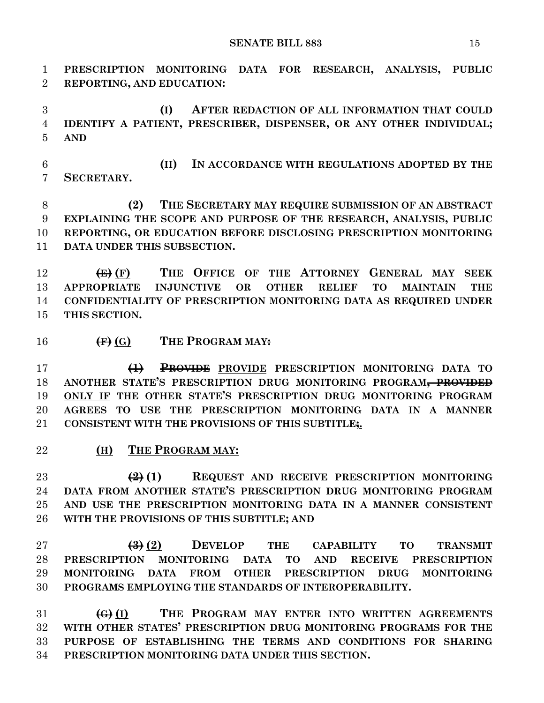**PRESCRIPTION MONITORING DATA FOR RESEARCH, ANALYSIS, PUBLIC** 

 **REPORTING, AND EDUCATION: (I) AFTER REDACTION OF ALL INFORMATION THAT COULD IDENTIFY A PATIENT, PRESCRIBER, DISPENSER, OR ANY OTHER INDIVIDUAL; AND (II) IN ACCORDANCE WITH REGULATIONS ADOPTED BY THE SECRETARY. (2) THE SECRETARY MAY REQUIRE SUBMISSION OF AN ABSTRACT EXPLAINING THE SCOPE AND PURPOSE OF THE RESEARCH, ANALYSIS, PUBLIC REPORTING, OR EDUCATION BEFORE DISCLOSING PRESCRIPTION MONITORING DATA UNDER THIS SUBSECTION. (E) (F) THE OFFICE OF THE ATTORNEY GENERAL MAY SEEK APPROPRIATE INJUNCTIVE OR OTHER RELIEF TO MAINTAIN THE CONFIDENTIALITY OF PRESCRIPTION MONITORING DATA AS REQUIRED UNDER THIS SECTION.**

**(F) (G) THE PROGRAM MAY:**

 **(1) PROVIDE PROVIDE PRESCRIPTION MONITORING DATA TO ANOTHER STATE'S PRESCRIPTION DRUG MONITORING PROGRAM, PROVIDED ONLY IF THE OTHER STATE'S PRESCRIPTION DRUG MONITORING PROGRAM AGREES TO USE THE PRESCRIPTION MONITORING DATA IN A MANNER CONSISTENT WITH THE PROVISIONS OF THIS SUBTITLE;.**

#### **(H) THE PROGRAM MAY:**

 **(2) (1) REQUEST AND RECEIVE PRESCRIPTION MONITORING DATA FROM ANOTHER STATE'S PRESCRIPTION DRUG MONITORING PROGRAM AND USE THE PRESCRIPTION MONITORING DATA IN A MANNER CONSISTENT WITH THE PROVISIONS OF THIS SUBTITLE; AND**

 **(3) (2) DEVELOP THE CAPABILITY TO TRANSMIT PRESCRIPTION MONITORING DATA TO AND RECEIVE PRESCRIPTION MONITORING DATA FROM OTHER PRESCRIPTION DRUG MONITORING PROGRAMS EMPLOYING THE STANDARDS OF INTEROPERABILITY.**

 **(G) (I) THE PROGRAM MAY ENTER INTO WRITTEN AGREEMENTS WITH OTHER STATES' PRESCRIPTION DRUG MONITORING PROGRAMS FOR THE PURPOSE OF ESTABLISHING THE TERMS AND CONDITIONS FOR SHARING PRESCRIPTION MONITORING DATA UNDER THIS SECTION.**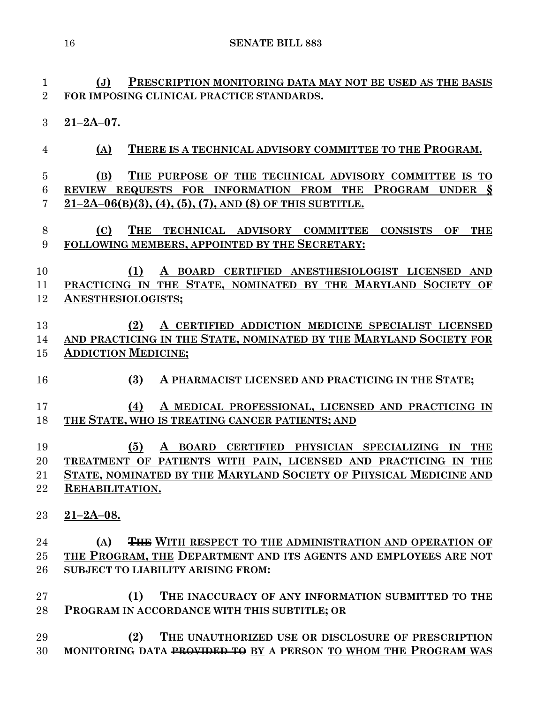**(J) PRESCRIPTION MONITORING DATA MAY NOT BE USED AS THE BASIS FOR IMPOSING CLINICAL PRACTICE STANDARDS. 21–2A–07. (A) THERE IS A TECHNICAL ADVISORY COMMITTEE TO THE PROGRAM. (B) THE PURPOSE OF THE TECHNICAL ADVISORY COMMITTEE IS TO REVIEW REQUESTS FOR INFORMATION FROM THE PROGRAM UNDER § 21–2A–06(B)(3), (4), (5), (7), AND (8) OF THIS SUBTITLE. (C) THE TECHNICAL ADVISORY COMMITTEE CONSISTS OF THE FOLLOWING MEMBERS, APPOINTED BY THE SECRETARY: (1) A BOARD CERTIFIED ANESTHESIOLOGIST LICENSED AND PRACTICING IN THE STATE, NOMINATED BY THE MARYLAND SOCIETY OF ANESTHESIOLOGISTS; (2) A CERTIFIED ADDICTION MEDICINE SPECIALIST LICENSED AND PRACTICING IN THE STATE, NOMINATED BY THE MARYLAND SOCIETY FOR ADDICTION MEDICINE; (3) A PHARMACIST LICENSED AND PRACTICING IN THE STATE; (4) A MEDICAL PROFESSIONAL, LICENSED AND PRACTICING IN THE STATE, WHO IS TREATING CANCER PATIENTS; AND (5) A BOARD CERTIFIED PHYSICIAN SPECIALIZING IN THE TREATMENT OF PATIENTS WITH PAIN, LICENSED AND PRACTICING IN THE STATE, NOMINATED BY THE MARYLAND SOCIETY OF PHYSICAL MEDICINE AND REHABILITATION. 21–2A–08. (A) THE WITH RESPECT TO THE ADMINISTRATION AND OPERATION OF THE PROGRAM, THE DEPARTMENT AND ITS AGENTS AND EMPLOYEES ARE NOT SUBJECT TO LIABILITY ARISING FROM: (1) THE INACCURACY OF ANY INFORMATION SUBMITTED TO THE PROGRAM IN ACCORDANCE WITH THIS SUBTITLE; OR (2) THE UNAUTHORIZED USE OR DISCLOSURE OF PRESCRIPTION MONITORING DATA PROVIDED TO BY A PERSON TO WHOM THE PROGRAM WAS**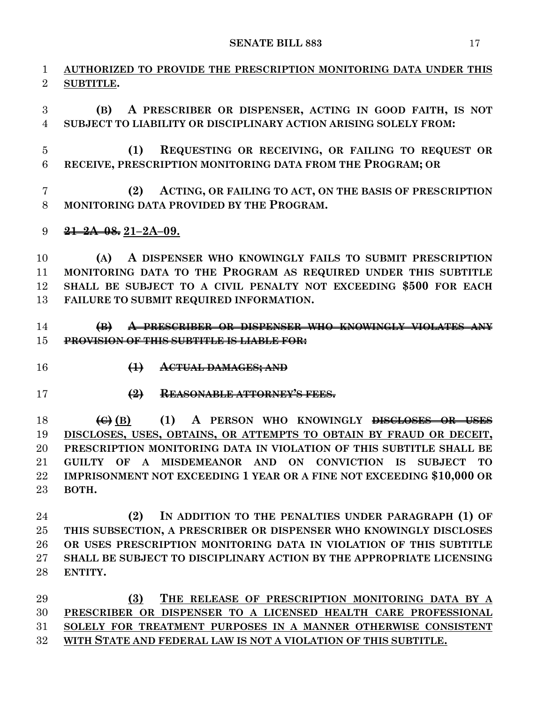**AUTHORIZED TO PROVIDE THE PRESCRIPTION MONITORING DATA UNDER THIS SUBTITLE.**

 **(B) A PRESCRIBER OR DISPENSER, ACTING IN GOOD FAITH, IS NOT SUBJECT TO LIABILITY OR DISCIPLINARY ACTION ARISING SOLELY FROM:**

 **(1) REQUESTING OR RECEIVING, OR FAILING TO REQUEST OR RECEIVE, PRESCRIPTION MONITORING DATA FROM THE PROGRAM; OR** 

 **(2) ACTING, OR FAILING TO ACT, ON THE BASIS OF PRESCRIPTION MONITORING DATA PROVIDED BY THE PROGRAM.**

**21–2A–08. 21–2A–09.**

 **(A) A DISPENSER WHO KNOWINGLY FAILS TO SUBMIT PRESCRIPTION MONITORING DATA TO THE PROGRAM AS REQUIRED UNDER THIS SUBTITLE SHALL BE SUBJECT TO A CIVIL PENALTY NOT EXCEEDING \$500 FOR EACH FAILURE TO SUBMIT REQUIRED INFORMATION.**

# **(B) A PRESCRIBER OR DISPENSER WHO KNOWINGLY VIOLATES ANY PROVISION OF THIS SUBTITLE IS LIABLE FOR:**

- 
- **(1) ACTUAL DAMAGES; AND**
- 
- **(2) REASONABLE ATTORNEY'S FEES.**

 **(C) (B) (1) A PERSON WHO KNOWINGLY DISCLOSES OR USES DISCLOSES, USES, OBTAINS, OR ATTEMPTS TO OBTAIN BY FRAUD OR DECEIT, PRESCRIPTION MONITORING DATA IN VIOLATION OF THIS SUBTITLE SHALL BE GUILTY OF A MISDEMEANOR AND ON CONVICTION IS SUBJECT TO IMPRISONMENT NOT EXCEEDING 1 YEAR OR A FINE NOT EXCEEDING \$10,000 OR BOTH.**

 **(2) IN ADDITION TO THE PENALTIES UNDER PARAGRAPH (1) OF THIS SUBSECTION, A PRESCRIBER OR DISPENSER WHO KNOWINGLY DISCLOSES OR USES PRESCRIPTION MONITORING DATA IN VIOLATION OF THIS SUBTITLE SHALL BE SUBJECT TO DISCIPLINARY ACTION BY THE APPROPRIATE LICENSING ENTITY.**

 **(3) THE RELEASE OF PRESCRIPTION MONITORING DATA BY A PRESCRIBER OR DISPENSER TO A LICENSED HEALTH CARE PROFESSIONAL SOLELY FOR TREATMENT PURPOSES IN A MANNER OTHERWISE CONSISTENT WITH STATE AND FEDERAL LAW IS NOT A VIOLATION OF THIS SUBTITLE.**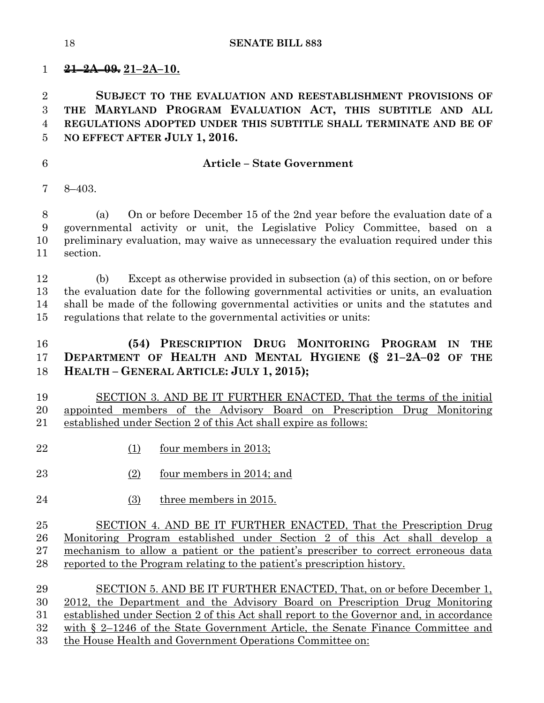**21–2A–09. 21–2A–10.**

 **SUBJECT TO THE EVALUATION AND REESTABLISHMENT PROVISIONS OF THE MARYLAND PROGRAM EVALUATION ACT, THIS SUBTITLE AND ALL REGULATIONS ADOPTED UNDER THIS SUBTITLE SHALL TERMINATE AND BE OF NO EFFECT AFTER JULY 1, 2016.**

## **Article – State Government**

8–403.

 (a) On or before December 15 of the 2nd year before the evaluation date of a governmental activity or unit, the Legislative Policy Committee, based on a preliminary evaluation, may waive as unnecessary the evaluation required under this section.

 (b) Except as otherwise provided in subsection (a) of this section, on or before the evaluation date for the following governmental activities or units, an evaluation shall be made of the following governmental activities or units and the statutes and regulations that relate to the governmental activities or units:

# **(54) PRESCRIPTION DRUG MONITORING PROGRAM IN THE DEPARTMENT OF HEALTH AND MENTAL HYGIENE (§ 21–2A–02 OF THE HEALTH – GENERAL ARTICLE: JULY 1, 2015);**

 SECTION 3. AND BE IT FURTHER ENACTED, That the terms of the initial appointed members of the Advisory Board on Prescription Drug Monitoring established under Section 2 of this Act shall expire as follows:

- (1) four members in 2013;
- (2) four members in 2014; and
- (3) three members in 2015.

 SECTION 4. AND BE IT FURTHER ENACTED, That the Prescription Drug Monitoring Program established under Section 2 of this Act shall develop a mechanism to allow a patient or the patient's prescriber to correct erroneous data reported to the Program relating to the patient's prescription history.

 SECTION 5. AND BE IT FURTHER ENACTED, That, on or before December 1, 2012, the Department and the Advisory Board on Prescription Drug Monitoring established under Section 2 of this Act shall report to the Governor and, in accordance with § 2–1246 of the State Government Article, the Senate Finance Committee and the House Health and Government Operations Committee on: